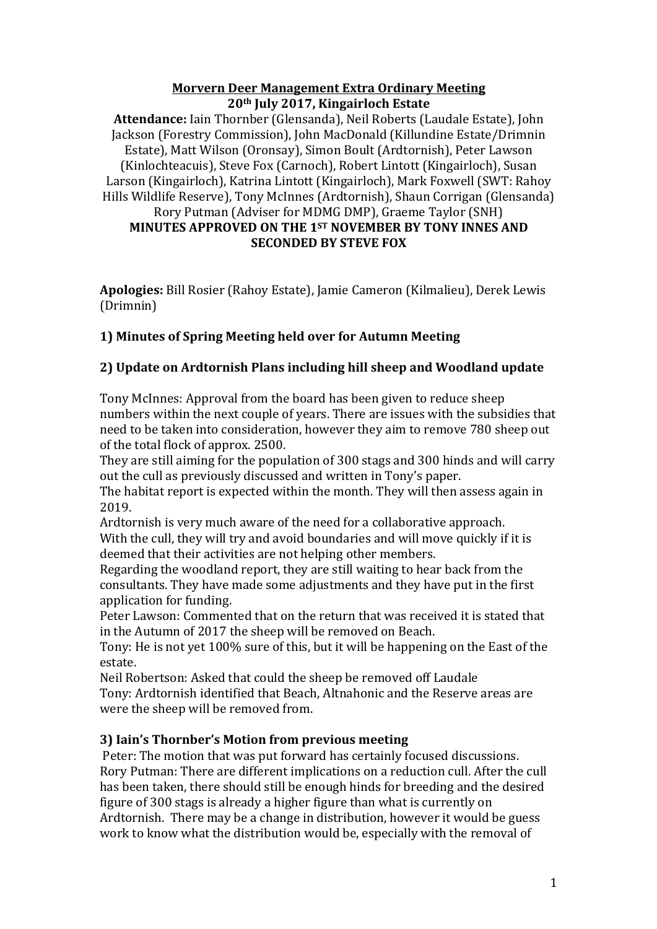#### **Morvern Deer Management Extra Ordinary Meeting 20th July 2017, Kingairloch Estate**

Attendance: Iain Thornber (Glensanda), Neil Roberts (Laudale Estate), John Jackson (Forestry Commission), John MacDonald (Killundine Estate/Drimnin Estate), Matt Wilson (Oronsay), Simon Boult (Ardtornish), Peter Lawson (Kinlochteacuis), Steve Fox (Carnoch), Robert Lintott (Kingairloch), Susan Larson (Kingairloch), Katrina Lintott (Kingairloch), Mark Foxwell (SWT: Rahoy Hills Wildlife Reserve), Tony McInnes (Ardtornish), Shaun Corrigan (Glensanda) Rory Putman (Adviser for MDMG DMP), Graeme Taylor (SNH) **MINUTES APPROVED ON THE 1ST NOVEMBER BY TONY INNES AND SECONDED BY STEVE FOX** 

Apologies: Bill Rosier (Rahoy Estate), Jamie Cameron (Kilmalieu), Derek Lewis (Drimnin)

# **1) Minutes of Spring Meeting held over for Autumn Meeting**

# **2) Update on Ardtornish Plans including hill sheep and Woodland update**

Tony McInnes: Approval from the board has been given to reduce sheep numbers within the next couple of years. There are issues with the subsidies that need to be taken into consideration, however they aim to remove 780 sheep out of the total flock of approx. 2500.

They are still aiming for the population of 300 stags and 300 hinds and will carry out the cull as previously discussed and written in Tony's paper.

The habitat report is expected within the month. They will then assess again in 2019. 

Ardtornish is very much aware of the need for a collaborative approach. With the cull, they will try and avoid boundaries and will move quickly if it is deemed that their activities are not helping other members.

Regarding the woodland report, they are still waiting to hear back from the consultants. They have made some adjustments and they have put in the first application for funding.

Peter Lawson: Commented that on the return that was received it is stated that in the Autumn of 2017 the sheep will be removed on Beach.

Tony: He is not yet 100% sure of this, but it will be happening on the East of the estate. 

Neil Robertson: Asked that could the sheep be removed off Laudale Tony: Ardtornish identified that Beach, Altnahonic and the Reserve areas are were the sheep will be removed from.

# **3) Iain's Thornber's Motion from previous meeting**

Peter: The motion that was put forward has certainly focused discussions. Rory Putman: There are different implications on a reduction cull. After the cull has been taken, there should still be enough hinds for breeding and the desired figure of 300 stags is already a higher figure than what is currently on Ardtornish. There may be a change in distribution, however it would be guess work to know what the distribution would be, especially with the removal of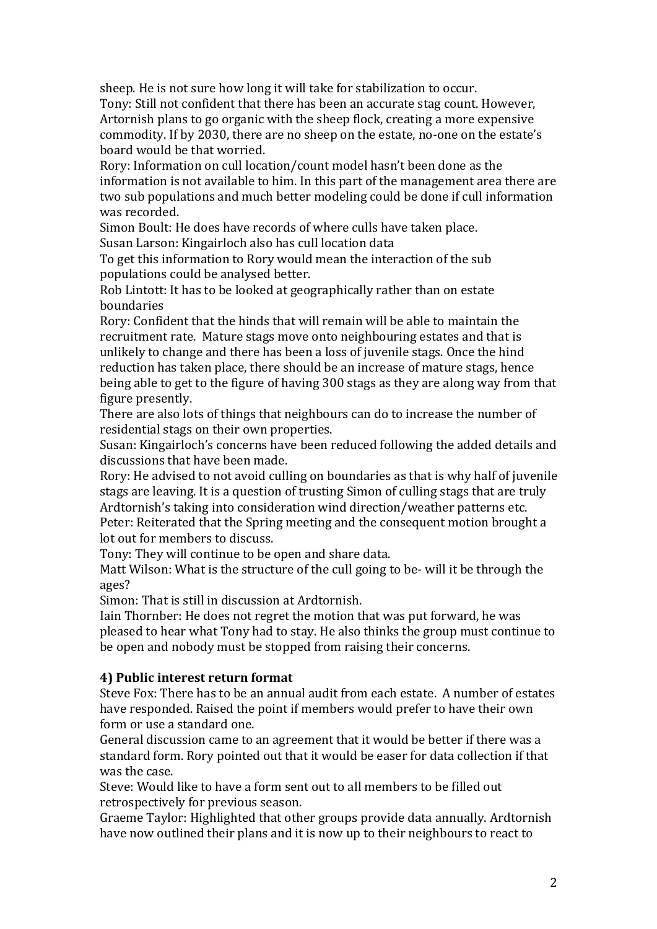sheep. He is not sure how long it will take for stabilization to occur. Tony: Still not confident that there has been an accurate stag count. However, Artornish plans to go organic with the sheep flock, creating a more expensive commodity. If by 2030, there are no sheep on the estate, no-one on the estate's board would be that worried.

Rory: Information on cull location/count model hasn't been done as the information is not available to him. In this part of the management area there are two sub populations and much better modeling could be done if cull information was recorded.

Simon Boult: He does have records of where culls have taken place. Susan Larson: Kingairloch also has cull location data

To get this information to Rory would mean the interaction of the sub populations could be analysed better.

Rob Lintott: It has to be looked at geographically rather than on estate boundaries

Rory: Confident that the hinds that will remain will be able to maintain the recruitment rate. Mature stags move onto neighbouring estates and that is unlikely to change and there has been a loss of juvenile stags. Once the hind reduction has taken place, there should be an increase of mature stags, hence being able to get to the figure of having 300 stags as they are along way from that figure presently.

There are also lots of things that neighbours can do to increase the number of residential stags on their own properties.

Susan: Kingairloch's concerns have been reduced following the added details and discussions that have been made.

Rory: He advised to not avoid culling on boundaries as that is why half of juvenile stags are leaving. It is a question of trusting Simon of culling stags that are truly Ardtornish's taking into consideration wind direction/weather patterns etc. Peter: Reiterated that the Spring meeting and the consequent motion brought a lot out for members to discuss.

Tony: They will continue to be open and share data.

Matt Wilson: What is the structure of the cull going to be- will it be through the ages? 

Simon: That is still in discussion at Ardtornish.

Iain Thornber: He does not regret the motion that was put forward, he was pleased to hear what Tony had to stay. He also thinks the group must continue to be open and nobody must be stopped from raising their concerns.

# **4) Public interest return format**

Steve Fox: There has to be an annual audit from each estate. A number of estates have responded. Raised the point if members would prefer to have their own form or use a standard one.

General discussion came to an agreement that it would be better if there was a standard form. Rory pointed out that it would be easer for data collection if that was the case.

Steve: Would like to have a form sent out to all members to be filled out retrospectively for previous season.

Graeme Taylor: Highlighted that other groups provide data annually. Ardtornish have now outlined their plans and it is now up to their neighbours to react to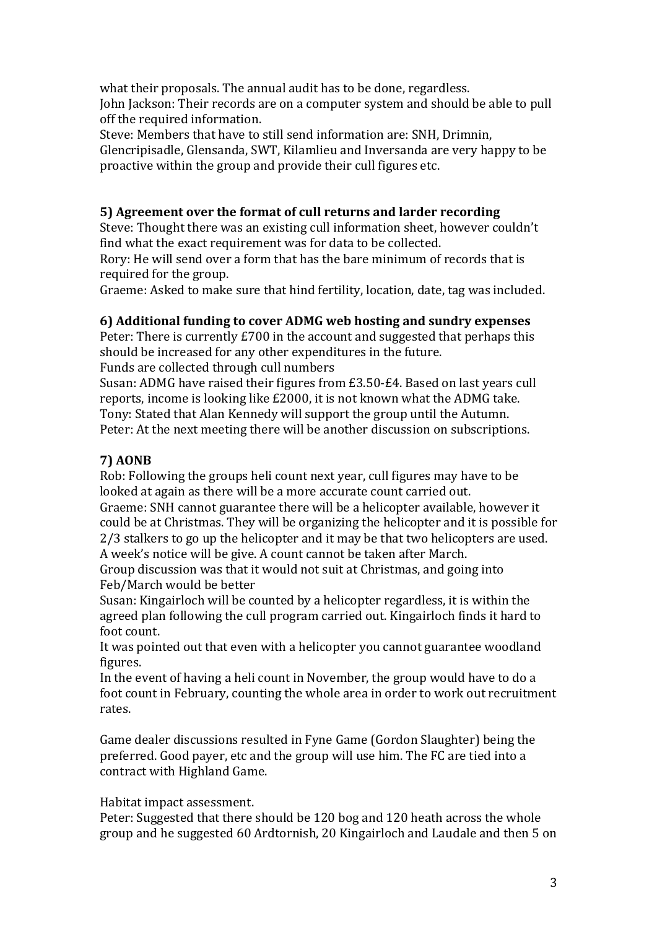what their proposals. The annual audit has to be done, regardless. John Jackson: Their records are on a computer system and should be able to pull off the required information.

Steve: Members that have to still send information are: SNH, Drimnin, Glencripisadle, Glensanda, SWT, Kilamlieu and Inversanda are very happy to be proactive within the group and provide their cull figures etc.

# **5)** Agreement over the format of cull returns and larder recording

Steve: Thought there was an existing cull information sheet, however couldn't find what the exact requirement was for data to be collected.

Rory: He will send over a form that has the bare minimum of records that is required for the group.

Graeme: Asked to make sure that hind fertility, location, date, tag was included.

# **6)** Additional funding to cover ADMG web hosting and sundry expenses

Peter: There is currently  $£700$  in the account and suggested that perhaps this should be increased for any other expenditures in the future. Funds are collected through cull numbers

Susan: ADMG have raised their figures from £3.50-£4. Based on last vears cull reports, income is looking like  $£2000$ , it is not known what the ADMG take. Tony: Stated that Alan Kennedy will support the group until the Autumn. Peter: At the next meeting there will be another discussion on subscriptions.

# **7) AONB**

Rob: Following the groups heli count next year, cull figures may have to be looked at again as there will be a more accurate count carried out. Graeme: SNH cannot guarantee there will be a helicopter available, however it could be at Christmas. They will be organizing the helicopter and it is possible for  $2/3$  stalkers to go up the helicopter and it may be that two helicopters are used.

A week's notice will be give. A count cannot be taken after March.

Group discussion was that it would not suit at Christmas, and going into Feb/March would be better

Susan: Kingairloch will be counted by a helicopter regardless, it is within the agreed plan following the cull program carried out. Kingairloch finds it hard to foot count.

It was pointed out that even with a helicopter you cannot guarantee woodland figures. 

In the event of having a heli count in November, the group would have to do a foot count in February, counting the whole area in order to work out recruitment rates. 

Game dealer discussions resulted in Fyne Game (Gordon Slaughter) being the preferred. Good payer, etc and the group will use him. The FC are tied into a contract with Highland Game.

#### Habitat impact assessment.

Peter: Suggested that there should be 120 bog and 120 heath across the whole group and he suggested 60 Ardtornish, 20 Kingairloch and Laudale and then 5 on